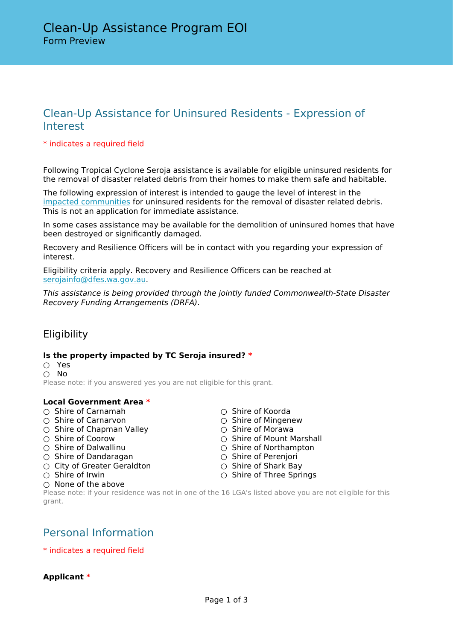## Clean-Up Assistance for Uninsured Residents - Expression of Interest

#### \* indicates a required field

Following Tropical Cyclone Seroja assistance is available for eligible uninsured residents for the removal of disaster related debris from their homes to make them safe and habitable.

The following expression of interest is intended to gauge the level of interest in the [impacted communities](https://www.dfes.wa.gov.au/recovery/ActivatedEvents/AGRN965-DRFAWA-Severe-Tropical-Cyclone-Seroja-(11%20to%2012%20April%202021).pdf) for uninsured residents for the removal of disaster related debris. This is not an application for immediate assistance.

In some cases assistance may be available for the demolition of uninsured homes that have been destroyed or significantly damaged.

Recovery and Resilience Officers will be in contact with you regarding your expression of interest.

Eligibility criteria apply. Recovery and Resilience Officers can be reached at [serojainfo@dfes.wa.gov.au.](mailto:serojainfo@dfes.wa.gov.au)

*This assistance is being provided through the jointly funded Commonwealth-State Disaster Recovery Funding Arrangements (DRFA)*.

## **Eligibility**

#### **Is the property impacted by TC Seroja insured? \***

○ Yes ○ No Please note: if you answered yes you are not eligible for this grant.

#### **Local Government Area \***

- Shire of Carnamah ○ Shire of Koorda
- Shire of Carnarvon Shire of Mingenew
- Shire of Chapman Valley △ Shire of Morawa<br>○ Shire of Coorow △ Shire of Mount M
- 
- 
- Shire of Dandaragan Shire of Perenjori
- City of Greater Geraldton △ Shire of Shark Bay
- 
- None of the above
- 
- 
- 
- 
- Shire of Coorow Shire of Mount Marshall<br>○ Shire of Dalwallinu △ Shire of Northampton ○ Shire of Northampton
	-
	-
- Shire of Irwin Shire of Three Springs

Please note: if your residence was not in one of the 16 LGA's listed above you are not eligible for this grant.

## Personal Information

#### \* indicates a required field

**Applicant \***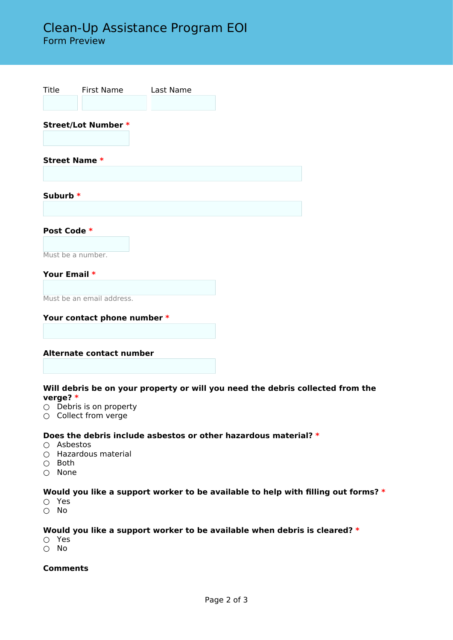# Clean-Up Assistance Program EOI

Form Preview

| Title                           | First Name                | Last Name |  |  |
|---------------------------------|---------------------------|-----------|--|--|
|                                 |                           |           |  |  |
| <b>Street/Lot Number *</b>      |                           |           |  |  |
| <b>Street Name *</b>            |                           |           |  |  |
|                                 |                           |           |  |  |
| Suburb *                        |                           |           |  |  |
|                                 |                           |           |  |  |
| Post Code *                     |                           |           |  |  |
| Must be a number.               |                           |           |  |  |
| Your Email *                    |                           |           |  |  |
|                                 | Must be an email address. |           |  |  |
| Your contact phone number *     |                           |           |  |  |
|                                 |                           |           |  |  |
| <b>Alternate contact number</b> |                           |           |  |  |
|                                 |                           |           |  |  |

#### **Will debris be on your property or will you need the debris collected from the verge? \***

- $O$  Debris is on property
- Collect from verge

#### **Does the debris include asbestos or other hazardous material? \***

- Asbestos
- $\overline{O}$  Hazardous material
- $\cap$  Both
- None

#### **Would you like a support worker to be available to help with filling out forms? \***

- Yes
- No

#### **Would you like a support worker to be available when debris is cleared? \***

- Yes
- No

#### **Comments**